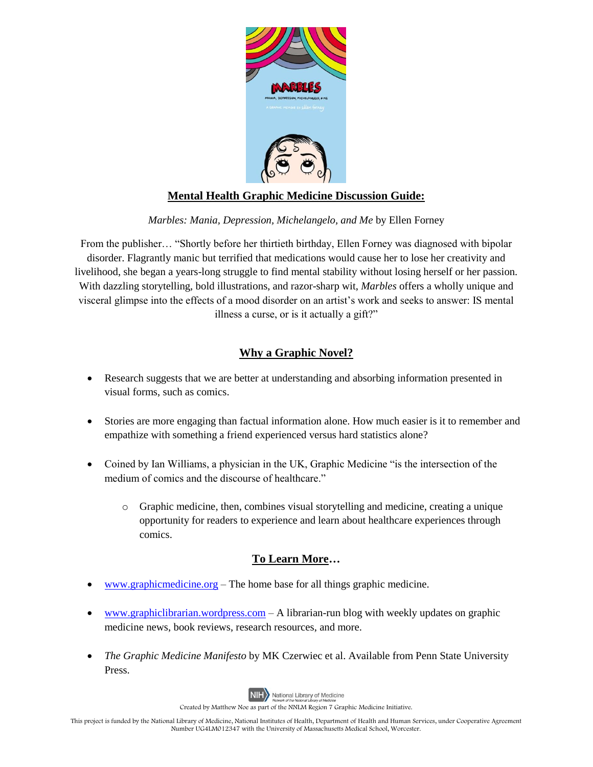

## **Mental Health Graphic Medicine Discussion Guide:**

*Marbles: Mania, Depression, Michelangelo, and Me* by Ellen Forney

From the publisher… "Shortly before her thirtieth birthday, Ellen Forney was diagnosed with bipolar disorder. Flagrantly manic but terrified that medications would cause her to lose her creativity and livelihood, she began a years-long struggle to find mental stability without losing herself or her passion. With dazzling storytelling, bold illustrations, and razor-sharp wit, *Marbles* offers a wholly unique and visceral glimpse into the effects of a mood disorder on an artist's work and seeks to answer: IS mental illness a curse, or is it actually a gift?"

## **Why a Graphic Novel?**

- Research suggests that we are better at understanding and absorbing information presented in visual forms, such as comics.
- Stories are more engaging than factual information alone. How much easier is it to remember and empathize with something a friend experienced versus hard statistics alone?
- Coined by Ian Williams, a physician in the UK, Graphic Medicine "is the intersection of the medium of comics and the discourse of healthcare."
	- o Graphic medicine, then, combines visual storytelling and medicine, creating a unique opportunity for readers to experience and learn about healthcare experiences through comics.

## **To Learn More…**

- [www.graphicmedicine.org](http://www.graphicmedicine.org/) The home base for all things graphic medicine.
- [www.graphiclibrarian.wordpress.com](http://www.graphiclibrarian.wordpress.com/) A librarian-run blog with weekly updates on graphic medicine news, book reviews, research resources, and more.
- *The Graphic Medicine Manifesto* by MK Czerwiec et al. Available from Penn State University Press.



Created by Matthew Noe as part of the NNLM Region 7 Graphic Medicine Initiative.

This project is funded by the National Library of Medicine, National Institutes of Health, Department of Health and Human Services, under Cooperative Agreement Number UG4LM012347 with the University of Massachusetts Medical School, Worcester.